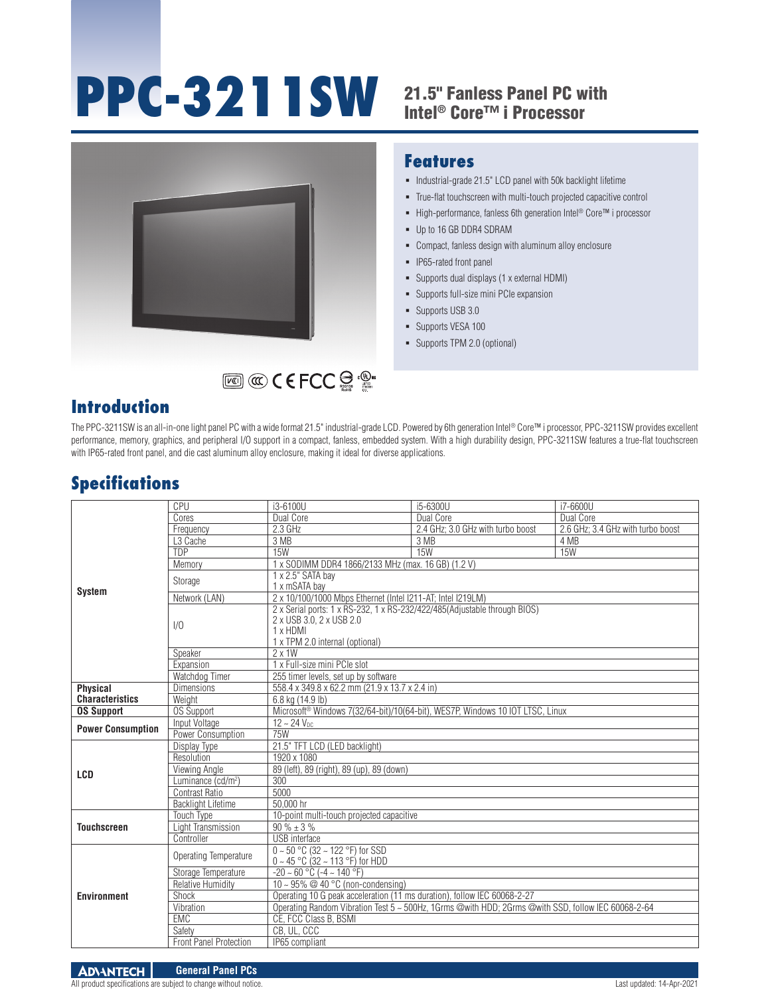# **PPC-3211SW** 21.5" Fanless Panel PC with

## Intel® Core™ i Processor



#### **Features**

- $\blacksquare$  Industrial-grade 21.5" LCD panel with 50k backlight lifetime
- True-flat touchscreen with multi-touch projected capacitive control
- High-performance, fanless 6th generation Intel<sup>®</sup> Core™ i processor
- Up to 16 GB DDR4 SDRAM
- Compact, fanless design with aluminum alloy enclosure
- **IP65-rated front panel**
- Supports dual displays (1 x external HDMI)
- Supports full-size mini PCIe expansion
- Supports USB 3.0
- **Supports VESA 100**
- Supports TPM 2.0 (optional)

#### **Introduction**

The PPC-3211SW is an all-in-one light panel PC with a wide format 21.5" industrial-grade LCD. Powered by 6th generation Intel® Core™ i processor, PPC-3211SW provides excellent performance, memory, graphics, and peripheral I/O support in a compact, fanless, embedded system. With a high durability design, PPC-3211SW features a true-flat touchscreen with IP65-rated front panel, and die cast aluminum alloy enclosure, making it ideal for diverse applications.

#### **Specifications**

| <b>System</b>            | CPU                            | i3-6100U                                                                                                                                             | i5-6300U                          | i7-6600U                          |  |
|--------------------------|--------------------------------|------------------------------------------------------------------------------------------------------------------------------------------------------|-----------------------------------|-----------------------------------|--|
|                          | Cores                          | Dual Core                                                                                                                                            | Dual Core                         | Dual Core                         |  |
|                          | Frequency                      | 2.3 GHz                                                                                                                                              | 2.4 GHz; 3.0 GHz with turbo boost | 2.6 GHz; 3.4 GHz with turbo boost |  |
|                          | L <sub>3</sub> Cache           | 3 MB                                                                                                                                                 | 3 MB                              | 4 MB                              |  |
|                          | <b>TDP</b>                     | <b>15W</b>                                                                                                                                           | <b>15W</b>                        | 15W                               |  |
|                          | Memory                         | 1 x SODIMM DDR4 1866/2133 MHz (max. 16 GB) (1.2 V)                                                                                                   |                                   |                                   |  |
|                          | Storage                        | 1 x 2.5" SATA bay<br>1 x mSATA bay                                                                                                                   |                                   |                                   |  |
|                          | Network (LAN)                  | 2 x 10/100/1000 Mbps Ethernet (Intel I211-AT; Intel I219LM)                                                                                          |                                   |                                   |  |
|                          | 1/0                            | 2 x Serial ports: 1 x RS-232, 1 x RS-232/422/485(Adjustable through BIOS)<br>2 x USB 3.0, 2 x USB 2.0<br>1 x HDMI<br>1 x TPM 2.0 internal (optional) |                                   |                                   |  |
|                          | Speaker                        | $2 \times 1W$                                                                                                                                        |                                   |                                   |  |
|                          | Expansion                      | 1 x Full-size mini PCIe slot                                                                                                                         |                                   |                                   |  |
|                          | Watchdog Timer                 | 255 timer levels, set up by software                                                                                                                 |                                   |                                   |  |
| <b>Physical</b>          | <b>Dimensions</b>              | 558.4 x 349.8 x 62.2 mm (21.9 x 13.7 x 2.4 in)                                                                                                       |                                   |                                   |  |
| <b>Characteristics</b>   | Weight                         | 6.8 kg (14.9 lb)                                                                                                                                     |                                   |                                   |  |
| <b>OS Support</b>        | <b>OS Support</b>              | Microsoft <sup>®</sup> Windows 7(32/64-bit)/10(64-bit), WES7P, Windows 10 IOT LTSC, Linux                                                            |                                   |                                   |  |
| <b>Power Consumption</b> | Input Voltage                  | $12 - 24$ V <sub>nc</sub>                                                                                                                            |                                   |                                   |  |
|                          | Power Consumption              | <b>75W</b>                                                                                                                                           |                                   |                                   |  |
| <b>LCD</b>               | Display Type                   | 21.5" TFT LCD (LED backlight)                                                                                                                        |                                   |                                   |  |
|                          | Resolution                     | 1920 x 1080                                                                                                                                          |                                   |                                   |  |
|                          | Viewing Angle                  | 89 (left), 89 (right), 89 (up), 89 (down)                                                                                                            |                                   |                                   |  |
|                          | Luminance (cd/m <sup>2</sup> ) | 300                                                                                                                                                  |                                   |                                   |  |
|                          | Contrast Ratio                 | 5000                                                                                                                                                 |                                   |                                   |  |
|                          | <b>Backlight Lifetime</b>      | 50.000 hr                                                                                                                                            |                                   |                                   |  |
| <b>Touchscreen</b>       | <b>Touch Type</b>              | 10-point multi-touch projected capacitive                                                                                                            |                                   |                                   |  |
|                          | Light Transmission             | $90 \% \pm 3 \%$                                                                                                                                     |                                   |                                   |  |
|                          | Controller                     | <b>USB</b> interface                                                                                                                                 |                                   |                                   |  |
| <b>Environment</b>       | Operating Temperature          | $0 \sim 50$ °C (32 ~ 122 °F) for SSD<br>$0 \sim 45$ °C (32 ~ 113 °F) for HDD                                                                         |                                   |                                   |  |
|                          | Storage Temperature            | $-20 - 60$ °C ( $-4 - 140$ °F)                                                                                                                       |                                   |                                   |  |
|                          | <b>Relative Humidity</b>       | 10 ~ 95% $@$ 40 °C (non-condensing)                                                                                                                  |                                   |                                   |  |
|                          | Shock                          | Operating 10 G peak acceleration (11 ms duration), follow IEC 60068-2-27                                                                             |                                   |                                   |  |
|                          | Vibration                      | Operating Random Vibration Test 5 ~ 500Hz, 1Grms @with HDD; 2Grms @with SSD, follow IEC 60068-2-64                                                   |                                   |                                   |  |
|                          | EMC                            | CE, FCC Class B, BSMI                                                                                                                                |                                   |                                   |  |
|                          | Safety                         | CB. UL. CCC                                                                                                                                          |                                   |                                   |  |
|                          | <b>Front Panel Protection</b>  | IP65 compliant                                                                                                                                       |                                   |                                   |  |

All product specifications are subject to change without notice. Last updated: 14-Apr-2021